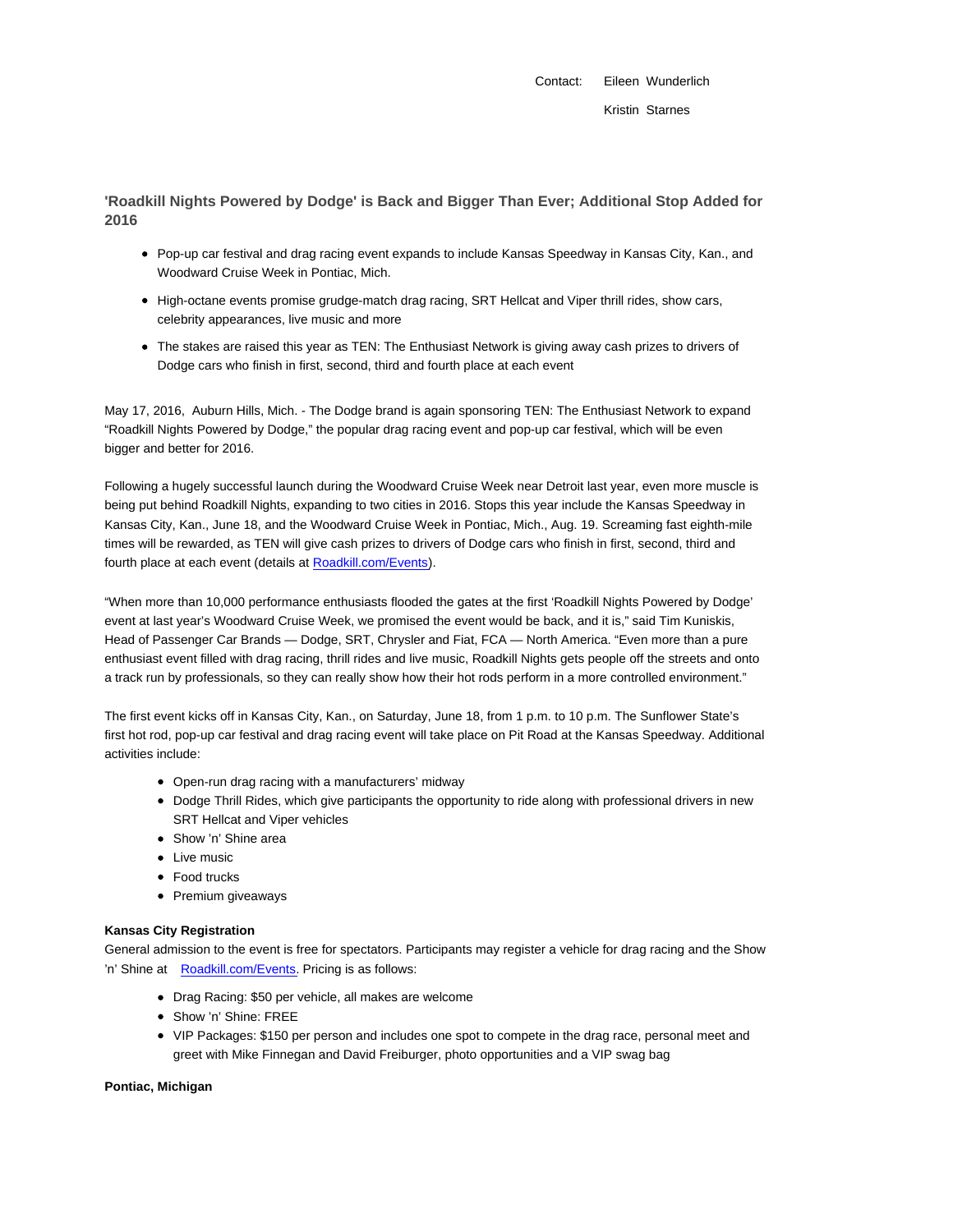Contact: Eileen Wunderlich Kristin Starnes

**'Roadkill Nights Powered by Dodge' is Back and Bigger Than Ever; Additional Stop Added for 2016**

- Pop-up car festival and drag racing event expands to include Kansas Speedway in Kansas City, Kan., and Woodward Cruise Week in Pontiac, Mich.
- High-octane events promise grudge-match drag racing, SRT Hellcat and Viper thrill rides, show cars, celebrity appearances, live music and more
- The stakes are raised this year as TEN: The Enthusiast Network is giving away cash prizes to drivers of Dodge cars who finish in first, second, third and fourth place at each event

May 17, 2016, Auburn Hills, Mich. - The Dodge brand is again sponsoring TEN: The Enthusiast Network to expand "Roadkill Nights Powered by Dodge," the popular drag racing event and pop-up car festival, which will be even bigger and better for 2016.

Following a hugely successful launch during the Woodward Cruise Week near Detroit last year, even more muscle is being put behind Roadkill Nights, expanding to two cities in 2016. Stops this year include the Kansas Speedway in Kansas City, Kan., June 18, and the Woodward Cruise Week in Pontiac, Mich., Aug. 19. Screaming fast eighth-mile times will be rewarded, as TEN will give cash prizes to drivers of Dodge cars who finish in first, second, third and fourth place at each event (details at Roadkill.com/Events).

"When more than 10,000 performance enthusiasts flooded the gates at the first 'Roadkill Nights Powered by Dodge' event at last year's Woodward Cruise Week, we promised the event would be back, and it is," said Tim Kuniskis, Head of Passenger Car Brands — Dodge, SRT, Chrysler and Fiat, FCA — North America. "Even more than a pure enthusiast event filled with drag racing, thrill rides and live music, Roadkill Nights gets people off the streets and onto a track run by professionals, so they can really show how their hot rods perform in a more controlled environment."

The first event kicks off in Kansas City, Kan., on Saturday, June 18, from 1 p.m. to 10 p.m. The Sunflower State's first hot rod, pop-up car festival and drag racing event will take place on Pit Road at the Kansas Speedway. Additional activities include:

- Open-run drag racing with a manufacturers' midway
- Dodge Thrill Rides, which give participants the opportunity to ride along with professional drivers in new SRT Hellcat and Viper vehicles
- Show 'n' Shine area
- Live music
- Food trucks
- Premium giveaways

## **Kansas City Registration**

General admission to the event is free for spectators. Participants may register a vehicle for drag racing and the Show 'n' Shine at Roadkill.com/Events. Pricing is as follows:

- Drag Racing: \$50 per vehicle, all makes are welcome
- Show 'n' Shine: FREE
- VIP Packages: \$150 per person and includes one spot to compete in the drag race, personal meet and greet with Mike Finnegan and David Freiburger, photo opportunities and a VIP swag bag

## **Pontiac, Michigan**